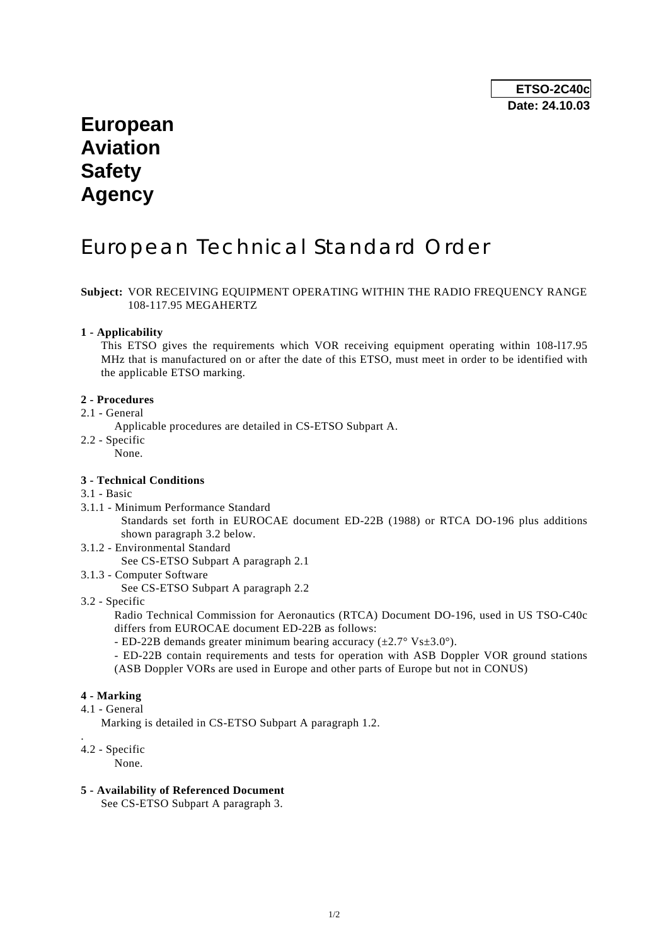## **European Aviation Safety Agency**

# European Technical Standard Order

#### **Subject:** VOR RECEIVING EQUIPMENT OPERATING WITHIN THE RADIO FREQUENCY RANGE 108-117.95 MEGAHERTZ

#### **1 - Applicability**

 This ETSO gives the requirements which VOR receiving equipment operating within 108-l17.95 MHz that is manufactured on or after the date of this ETSO, must meet in order to be identified with the applicable ETSO marking.

#### **2 - Procedures**

- 2.1 General
	- Applicable procedures are detailed in CS-ETSO Subpart A.
- 2.2 Specific

None.

#### **3 - Technical Conditions**

#### 3.1 - Basic

3.1.1 - Minimum Performance Standard

 Standards set forth in EUROCAE document ED-22B (1988) or RTCA DO-196 plus additions shown paragraph 3.2 below.

3.1.2 - Environmental Standard

See CS-ETSO Subpart A paragraph 2.1

- 3.1.3 Computer Software
	- See CS-ETSO Subpart A paragraph 2.2
- 3.2 Specific

 Radio Technical Commission for Aeronautics (RTCA) Document DO-196, used in US TSO-C40c differs from EUROCAE document ED-22B as follows:

- ED-22B demands greater minimum bearing accuracy  $(\pm 2.7^\circ \text{ Vs} \pm 3.0^\circ)$ .

 - ED-22B contain requirements and tests for operation with ASB Doppler VOR ground stations (ASB Doppler VORs are used in Europe and other parts of Europe but not in CONUS)

#### **4 - Marking**

4.1 - General

Marking is detailed in CS-ETSO Subpart A paragraph 1.2.

### 4.2 - Specific

.

None.

**5 - Availability of Referenced Document** 

See CS-ETSO Subpart A paragraph 3.